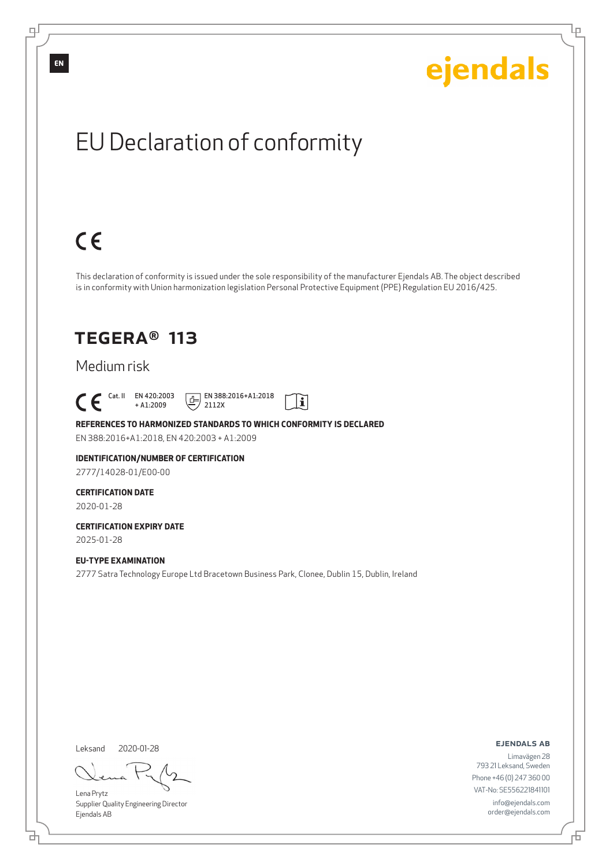# EU Declaration of conformity

# $C \in$

This declaration of conformity is issued under the sole responsibility of the manufacturer Ejendals AB. The object described is in conformity with Union harmonization legislation Personal Protective Equipment (PPE) Regulation EU 2016/425.

## TEGERA® 113

### Medium risk

 $\begin{bmatrix} \mathsf{Cat} & \mathsf{II} & \mathsf{EN} & 420:2003 \\ + & \mathsf{A} & 1:2009 \end{bmatrix}$ + A1:2009

 $E$  EN 388:2016+A1:2018 2112X



### **REFERENCES TO HARMONIZED STANDARDS TO WHICH CONFORMITY IS DECLARED**

EN 388:2016+A1:2018, EN 420:2003 + A1:2009

#### **IDENTIFICATION/NUMBER OF CERTIFICATION** 2777/14028-01/E00-00

### **CERTIFICATION DATE**

2020-01-28

#### **CERTIFICATION EXPIRY DATE** 2025-01-28

**EU-TYPE EXAMINATION**

2777 Satra Technology Europe Ltd Bracetown Business Park, Clonee, Dublin 15, Dublin, Ireland

Leksand 2020-01-28

<u>다</u>

Lena Prytz Supplier Quality Engineering Director Ejendals AB

ejendals ab

舌

Limavägen 28 793 21 Leksand, Sweden Phone +46 (0) 247 360 00 VAT-No: SE556221841101 info@ejendals.com order@ejendals.com

**EN**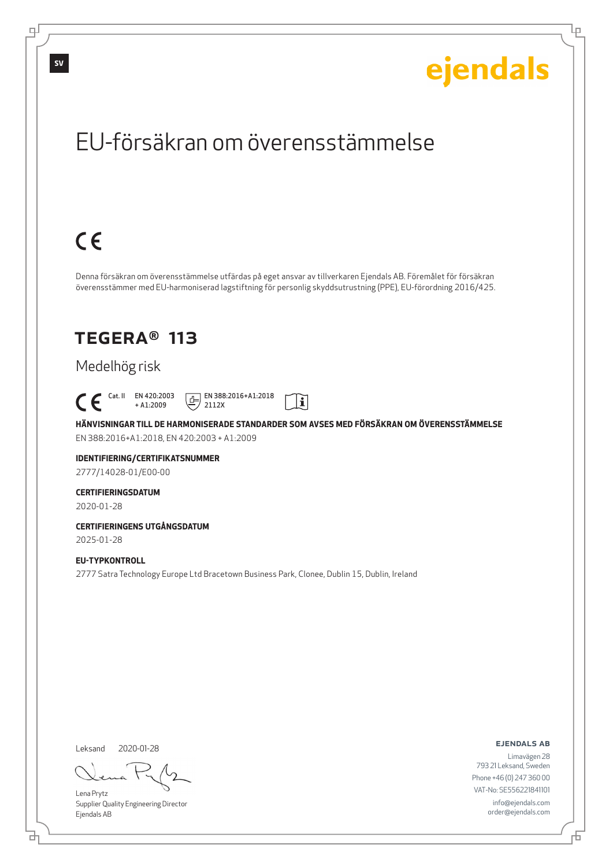Lρ

## EU-försäkran om överensstämmelse

# $C \in$

Denna försäkran om överensstämmelse utfärdas på eget ansvar av tillverkaren Ejendals AB. Föremålet för försäkran överensstämmer med EU-harmoniserad lagstiftning för personlig skyddsutrustning (PPE), EU-förordning 2016/425.

## TEGERA® 113

### Medelhög risk

 Cat. II EN 420:2003 + A1:2009

 $E$  EN 388:2016+A1:2018 2112X



**HÄNVISNINGAR TILL DE HARMONISERADE STANDARDER SOM AVSES MED FÖRSÄKRAN OM ÖVERENSSTÄMMELSE** EN 388:2016+A1:2018, EN 420:2003 + A1:2009

### **IDENTIFIERING/CERTIFIKATSNUMMER**

2777/14028-01/E00-00

#### **CERTIFIERINGSDATUM**

2020-01-28

#### **CERTIFIERINGENS UTGÅNGSDATUM** 2025-01-28

### **EU-TYPKONTROLL**

2777 Satra Technology Europe Ltd Bracetown Business Park, Clonee, Dublin 15, Dublin, Ireland

Leksand 2020-01-28

<u>다</u>

Lena Prytz Supplier Quality Engineering Director Ejendals AB

ejendals ab

Đ

Limavägen 28 793 21 Leksand, Sweden Phone +46 (0) 247 360 00 VAT-No: SE556221841101 info@ejendals.com order@ejendals.com

டி

**SV**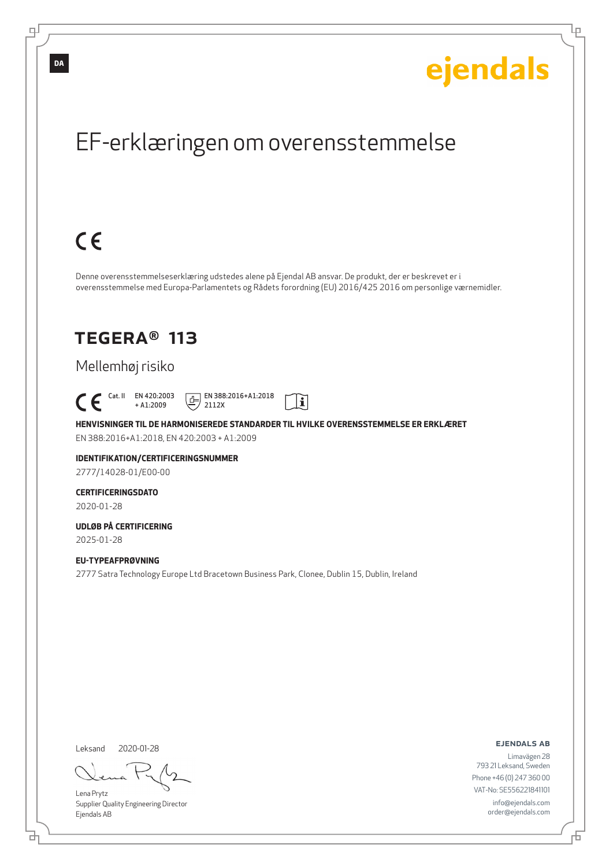## EF-erklæringen om overensstemmelse

# $C \in$

Denne overensstemmelseserklæring udstedes alene på Ejendal AB ansvar. De produkt, der er beskrevet er i overensstemmelse med Europa-Parlamentets og Rådets forordning (EU) 2016/425 2016 om personlige værnemidler.

## TEGERA® 113

### Mellemhøj risiko

 Cat. II EN 420:2003 + A1:2009

 $E$  EN 388:2016+A1:2018 2112X



**HENVISNINGER TIL DE HARMONISEREDE STANDARDER TIL HVILKE OVERENSSTEMMELSE ER ERKLÆRET** EN 388:2016+A1:2018, EN 420:2003 + A1:2009

**IDENTIFIKATION/CERTIFICERINGSNUMMER** 2777/14028-01/E00-00

**CERTIFICERINGSDATO**

2020-01-28

**UDLØB PÅ CERTIFICERING** 2025-01-28

**EU-TYPEAFPRØVNING** 2777 Satra Technology Europe Ltd Bracetown Business Park, Clonee, Dublin 15, Dublin, Ireland

Leksand 2020-01-28

브

Lena Prytz Supplier Quality Engineering Director Ejendals AB

ejendals ab

Đ

Limavägen 28 793 21 Leksand, Sweden Phone +46 (0) 247 360 00 VAT-No: SE556221841101 info@ejendals.com order@ejendals.com

டி

**DA**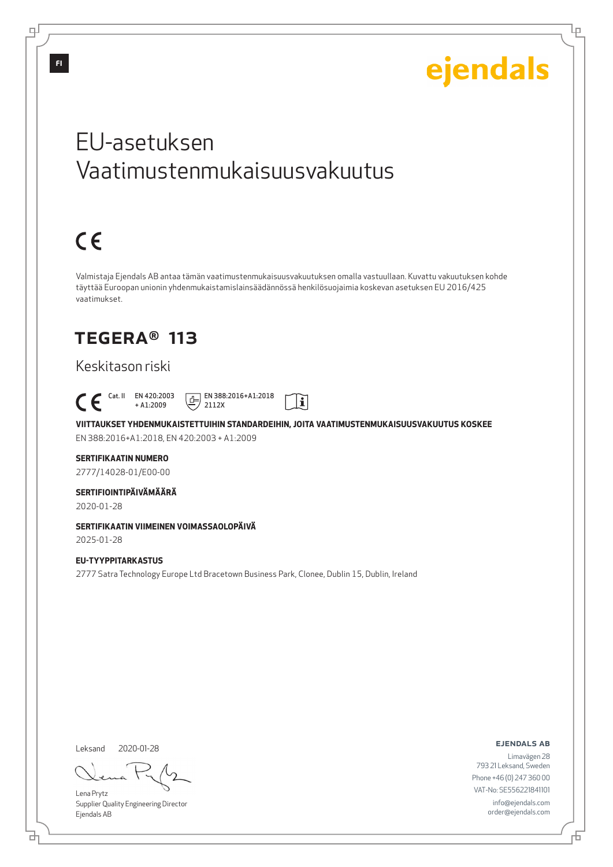Lμ

## EU-asetuksen Vaatimustenmukaisuusvakuutus

# $C \in$

Valmistaja Ejendals AB antaa tämän vaatimustenmukaisuusvakuutuksen omalla vastuullaan. Kuvattu vakuutuksen kohde täyttää Euroopan unionin yhdenmukaistamislainsäädännössä henkilösuojaimia koskevan asetuksen EU 2016/425 vaatimukset.

## TEGERA® 113

### Keskitason riski

 Cat. II EN 420:2003 + A1:2009

 $E$  EN 388:2016+A1:2018 2112X

**VIITTAUKSET YHDENMUKAISTETTUIHIN STANDARDEIHIN, JOITA VAATIMUSTENMUKAISUUSVAKUUTUS KOSKEE** EN 388:2016+A1:2018, EN 420:2003 + A1:2009

 $|\tilde{\mathbf{i}}|$ 

### **SERTIFIKAATIN NUMERO**

2777/14028-01/E00-00

### **SERTIFIOINTIPÄIVÄMÄÄRÄ**

2020-01-28

### **SERTIFIKAATIN VIIMEINEN VOIMASSAOLOPÄIVÄ**

2025-01-28

### **EU-TYYPPITARKASTUS** 2777 Satra Technology Europe Ltd Bracetown Business Park, Clonee, Dublin 15, Dublin, Ireland

Leksand 2020-01-28

브

Lena Prytz Supplier Quality Engineering Director Ejendals AB

ejendals ab

Đ

Limavägen 28 793 21 Leksand, Sweden Phone +46 (0) 247 360 00 VAT-No: SE556221841101 info@ejendals.com order@ejendals.com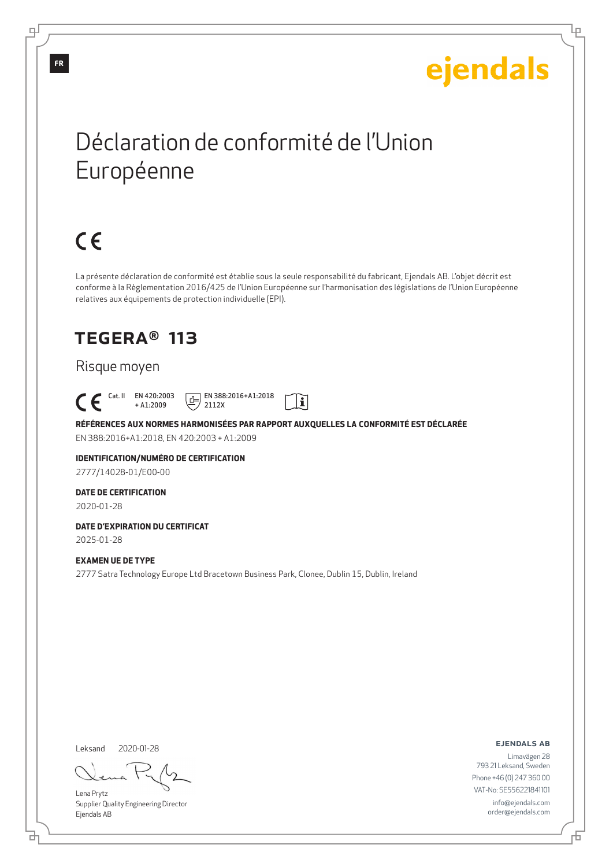Ļμ

## Déclaration de conformité de l'Union Européenne

# $C \in$

La présente déclaration de conformité est établie sous la seule responsabilité du fabricant, Ejendals AB. L'objet décrit est conforme à la Règlementation 2016/425 de l'Union Européenne sur l'harmonisation des législations de l'Union Européenne relatives aux équipements de protection individuelle (EPI).

## TEGERA® 113

### Risque moyen

## Cat. II EN 420:2003

+ A1:2009  $E$  EN 388:2016+A1:2018 2112X



**RÉFÉRENCES AUX NORMES HARMONISÉES PAR RAPPORT AUXQUELLES LA CONFORMITÉ EST DÉCLARÉE** EN 388:2016+A1:2018, EN 420:2003 + A1:2009

## **IDENTIFICATION/NUMÉRO DE CERTIFICATION**

2777/14028-01/E00-00

### **DATE DE CERTIFICATION**

2020-01-28

#### **DATE D'EXPIRATION DU CERTIFICAT** 2025-01-28

#### **EXAMEN UE DE TYPE**

2777 Satra Technology Europe Ltd Bracetown Business Park, Clonee, Dublin 15, Dublin, Ireland

Leksand 2020-01-28

<u>다</u>

Lena Prytz Supplier Quality Engineering Director Ejendals AB

ejendals ab

Đ

Limavägen 28 793 21 Leksand, Sweden Phone +46 (0) 247 360 00 VAT-No: SE556221841101 info@ejendals.com order@ejendals.com

**FR**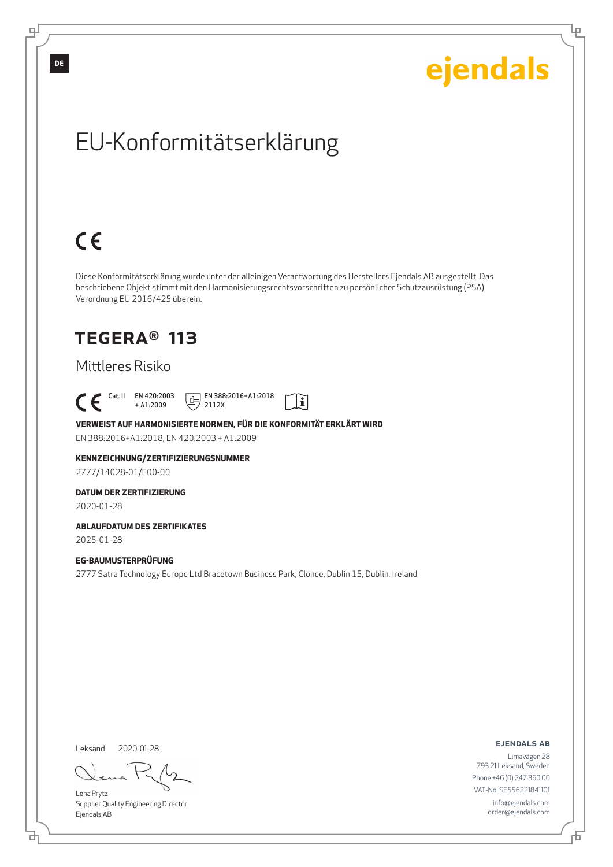## EU-Konformitätserklärung

# $C \in$

Diese Konformitätserklärung wurde unter der alleinigen Verantwortung des Herstellers Ejendals AB ausgestellt. Das beschriebene Objekt stimmt mit den Harmonisierungsrechtsvorschriften zu persönlicher Schutzausrüstung (PSA) Verordnung EU 2016/425 überein.

## TEGERA® 113

### Mittleres Risiko

 Cat. II EN 420:2003 + A1:2009

 $E$  EN 388:2016+A1:2018 2112X



**VERWEIST AUF HARMONISIERTE NORMEN, FÜR DIE KONFORMITÄT ERKLÄRT WIRD**

EN 388:2016+A1:2018, EN 420:2003 + A1:2009

**KENNZEICHNUNG/ZERTIFIZIERUNGSNUMMER**

2777/14028-01/E00-00

**DATUM DER ZERTIFIZIERUNG**

2020-01-28

**ABLAUFDATUM DES ZERTIFIKATES**

2025-01-28

### **EG-BAUMUSTERPRÜFUNG**

2777 Satra Technology Europe Ltd Bracetown Business Park, Clonee, Dublin 15, Dublin, Ireland

Leksand 2020-01-28

<u>다</u>

Lena Prytz Supplier Quality Engineering Director Ejendals AB

ejendals ab

Đ

Limavägen 28 793 21 Leksand, Sweden Phone +46 (0) 247 360 00 VAT-No: SE556221841101 info@ejendals.com order@ejendals.com

**DE**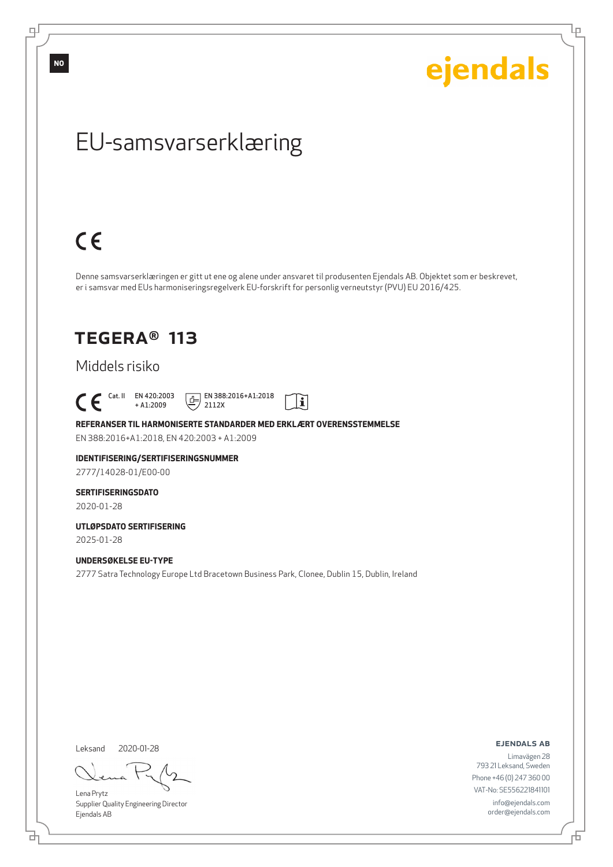டி

ejendals

Ļμ

## EU-samsvarserklæring

# $C \in$

Denne samsvarserklæringen er gitt ut ene og alene under ansvaret til produsenten Ejendals AB. Objektet som er beskrevet, er i samsvar med EUs harmoniseringsregelverk EU-forskrift for personlig verneutstyr (PVU) EU 2016/425.

## TEGERA® 113

### Middels risiko

 $\begin{bmatrix} \begin{array}{ccc} \text{Cat. II} & \text{EN }420:2003 \\ + \text{A1}:2009 \end{array} \end{bmatrix}$ + A1:2009

 $E$  EN 388:2016+A1:2018 2112X



**REFERANSER TIL HARMONISERTE STANDARDER MED ERKLÆRT OVERENSSTEMMELSE** EN 388:2016+A1:2018, EN 420:2003 + A1:2009

**IDENTIFISERING/SERTIFISERINGSNUMMER**

2777/14028-01/E00-00

### **SERTIFISERINGSDATO**

2020-01-28

**UTLØPSDATO SERTIFISERING** 2025-01-28

#### **UNDERSØKELSE EU-TYPE**

2777 Satra Technology Europe Ltd Bracetown Business Park, Clonee, Dublin 15, Dublin, Ireland

Leksand

2020-01-28

Lena Prytz Supplier Quality Engineering Director Ejendals AB

ejendals ab

Limavägen 28 793 21 Leksand, Sweden Phone +46 (0) 247 360 00 VAT-No: SE556221841101 info@ejendals.com order@ejendals.com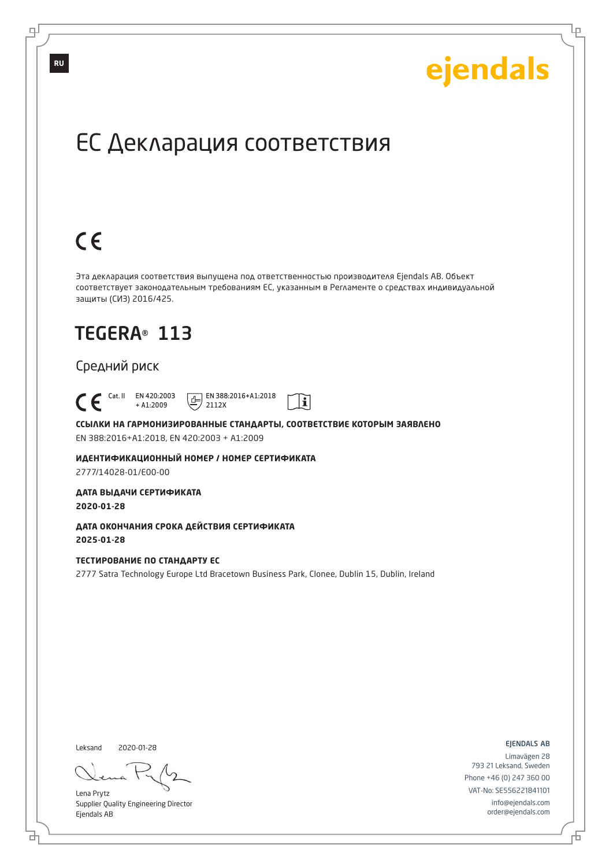Lр

## ЕС Декларация соответствия

# $C \in$

Эта декларация соответствия выпущена под ответственностью производителя Ejendals AB. Объект соответствует законодательным требованиям ЕС, указанным в Регламенте о средствах индивидуальной защиты (СИЗ) 2016/425.

 $\mathbf{i}$ 

## TEGERA® 113

### Средний риск

 Cat. II EN 420:2003 + A1:2009  $E$  EN 388:2016+A1:2018 2112X

**ССЫЛКИ НА ГАРМОНИЗИРОВАННЫЕ СТАНДАРТЫ, СООТВЕТСТВИЕ КОТОРЫМ ЗАЯВЛЕНО** EN 388:2016+A1:2018, EN 420:2003 + A1:2009

**ИДЕНТИФИКАЦИОННЫЙ НОМЕР / НОМЕР СЕРТИФИКАТА** 2777/14028-01/E00-00

**ДАТА ВЫДАЧИ СЕРТИФИКАТА 2020-01-28**

**ДАТА ОКОНЧАНИЯ СРОКА ДЕЙСТВИЯ СЕРТИФИКАТА 2025-01-28**

#### **ТЕСТИРОВАНИЕ ПО СТАНДАРТУ ЕС**

2777 Satra Technology Europe Ltd Bracetown Business Park, Clonee, Dublin 15, Dublin, Ireland

Leksand 2020-01-28

브

Lena Prytz Supplier Quality Engineering Director Ejendals AB

ejendals ab

Đ

Limavägen 28 793 21 Leksand, Sweden Phone +46 (0) 247 360 00 VAT-No: SE556221841101 info@ejendals.com order@ejendals.com

**RU**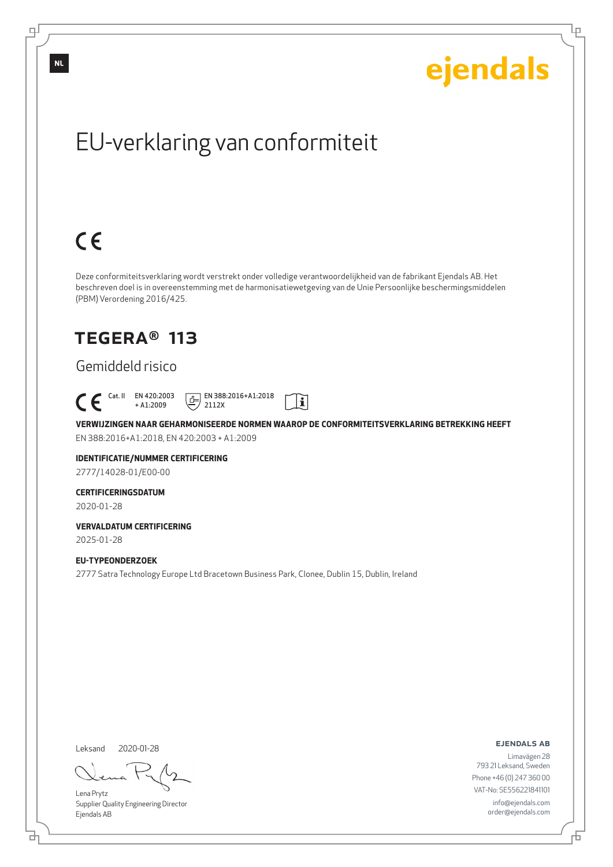# EU-verklaring van conformiteit

# $C \in$

Deze conformiteitsverklaring wordt verstrekt onder volledige verantwoordelijkheid van de fabrikant Ejendals AB. Het beschreven doel is in overeenstemming met de harmonisatiewetgeving van de Unie Persoonlijke beschermingsmiddelen (PBM) Verordening 2016/425.

## TEGERA® 113

### Gemiddeld risico

#### Cat. II EN 420:2003 + A1:2009

 $E$  EN 388:2016+A1:2018 2112X

I

**VERWIJZINGEN NAAR GEHARMONISEERDE NORMEN WAAROP DE CONFORMITEITSVERKLARING BETREKKING HEEFT** EN 388:2016+A1:2018, EN 420:2003 + A1:2009

## **IDENTIFICATIE/NUMMER CERTIFICERING**

2777/14028-01/E00-00

### **CERTIFICERINGSDATUM**

2020-01-28

#### **VERVALDATUM CERTIFICERING** 2025-01-28

**EU-TYPEONDERZOEK** 2777 Satra Technology Europe Ltd Bracetown Business Park, Clonee, Dublin 15, Dublin, Ireland

Leksand 2020-01-28

브

Lena Prytz Supplier Quality Engineering Director Ejendals AB

#### ejendals ab

Đ

Limavägen 28 793 21 Leksand, Sweden Phone +46 (0) 247 360 00 VAT-No: SE556221841101 info@ejendals.com order@ejendals.com

டி

**NL**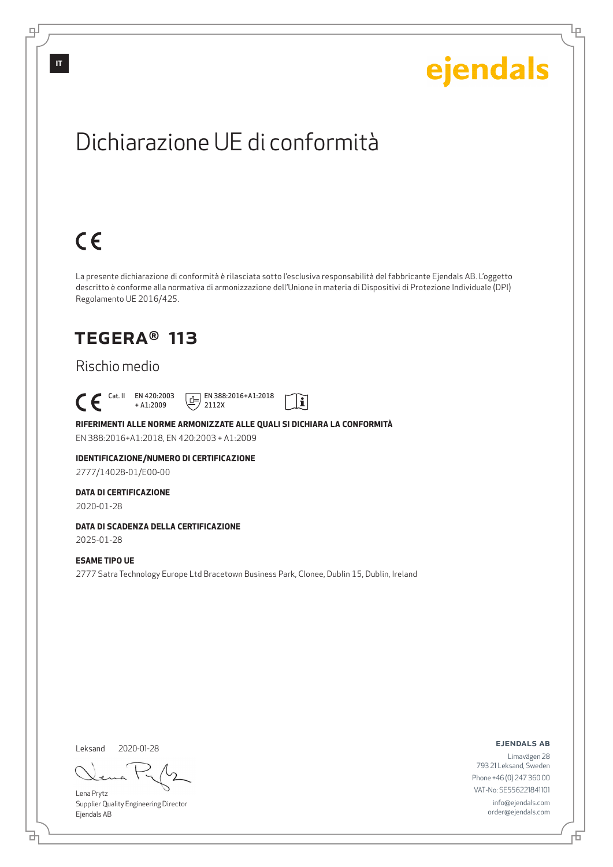Lρ

## Dichiarazione UE di conformità

# $C \in$

La presente dichiarazione di conformità è rilasciata sotto l'esclusiva responsabilità del fabbricante Ejendals AB. L'oggetto descritto è conforme alla normativa di armonizzazione dell'Unione in materia di Dispositivi di Protezione Individuale (DPI) Regolamento UE 2016/425.

## TEGERA® 113

### Rischio medio

 Cat. II EN 420:2003 + A1:2009

 $E$  EN 388:2016+A1:2018 2112X



#### **RIFERIMENTI ALLE NORME ARMONIZZATE ALLE QUALI SI DICHIARA LA CONFORMITÀ**

EN 388:2016+A1:2018, EN 420:2003 + A1:2009

### **IDENTIFICAZIONE/NUMERO DI CERTIFICAZIONE**

2777/14028-01/E00-00

#### **DATA DI CERTIFICAZIONE**

2020-01-28

### **DATA DI SCADENZA DELLA CERTIFICAZIONE**

2025-01-28

#### **ESAME TIPO UE**

2777 Satra Technology Europe Ltd Bracetown Business Park, Clonee, Dublin 15, Dublin, Ireland

Leksand 2020-01-28

<u>다</u>

Lena Prytz Supplier Quality Engineering Director Ejendals AB

#### ejendals ab

Đ

Limavägen 28 793 21 Leksand, Sweden Phone +46 (0) 247 360 00 VAT-No: SE556221841101 info@ejendals.com order@ejendals.com

டி

**IT**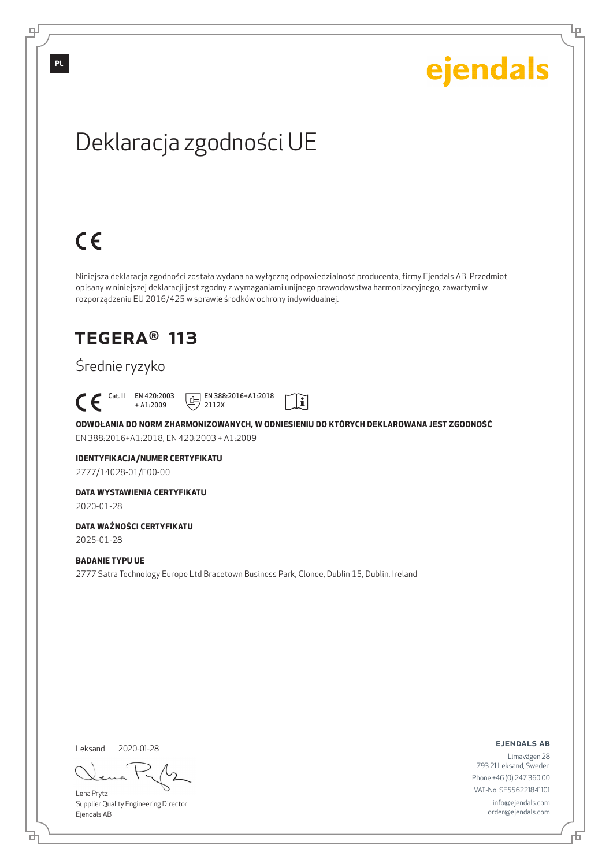Ļμ

# Deklaracja zgodności UE

# $C \in$

Niniejsza deklaracja zgodności została wydana na wyłączną odpowiedzialność producenta, firmy Ejendals AB. Przedmiot opisany w niniejszej deklaracji jest zgodny z wymaganiami unijnego prawodawstwa harmonizacyjnego, zawartymi w rozporządzeniu EU 2016/425 w sprawie środków ochrony indywidualnej.

## TEGERA® 113

### Średnie ryzyko

 Cat. II EN 420:2003 + A1:2009

 $E$  EN 388:2016+A1:2018 2112X



**ODWOŁANIA DO NORM ZHARMONIZOWANYCH, W ODNIESIENIU DO KTÓRYCH DEKLAROWANA JEST ZGODNOŚĆ** EN 388:2016+A1:2018, EN 420:2003 + A1:2009

### **IDENTYFIKACJA/NUMER CERTYFIKATU**

2777/14028-01/E00-00

#### **DATA WYSTAWIENIA CERTYFIKATU**

2020-01-28

### **DATA WAŻNOŚCI CERTYFIKATU**

2025-01-28

### **BADANIE TYPU UE**

2777 Satra Technology Europe Ltd Bracetown Business Park, Clonee, Dublin 15, Dublin, Ireland

Leksand 2020-01-28

브

Lena Prytz Supplier Quality Engineering Director Ejendals AB

ejendals ab

Đ

Limavägen 28 793 21 Leksand, Sweden Phone +46 (0) 247 360 00 VAT-No: SE556221841101 info@ejendals.com order@ejendals.com

**PL**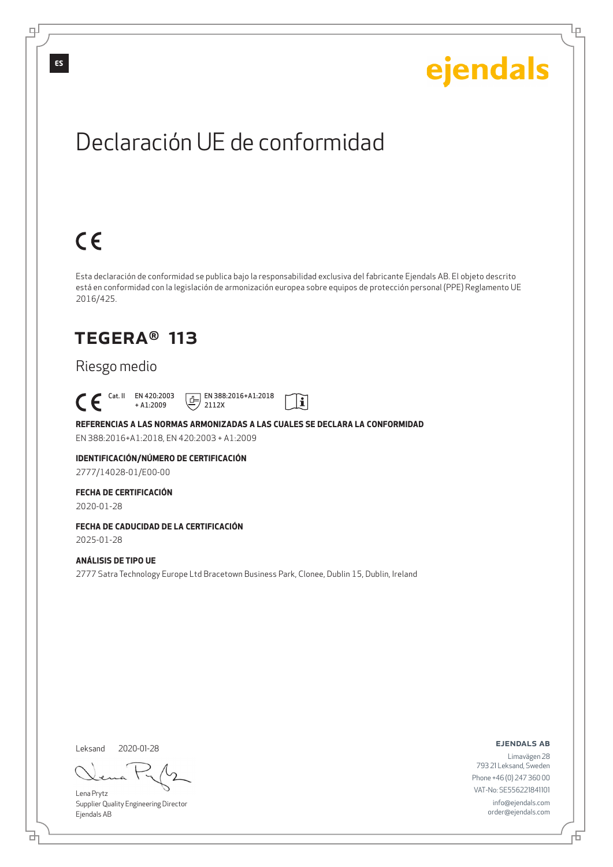Lρ

## Declaración UE de conformidad

# $C \in$

Esta declaración de conformidad se publica bajo la responsabilidad exclusiva del fabricante Ejendals AB. El objeto descrito está en conformidad con la legislación de armonización europea sobre equipos de protección personal (PPE) Reglamento UE 2016/425.

I

## TEGERA® 113

### Riesgo medio

 Cat. II EN 420:2003 + A1:2009

 $E$  EN 388:2016+A1:2018

### **REFERENCIAS A LAS NORMAS ARMONIZADAS A LAS CUALES SE DECLARA LA CONFORMIDAD**

2112X

EN 388:2016+A1:2018, EN 420:2003 + A1:2009

### **IDENTIFICACIÓN/NÚMERO DE CERTIFICACIÓN**

2777/14028-01/E00-00

#### **FECHA DE CERTIFICACIÓN**

2020-01-28

## **FECHA DE CADUCIDAD DE LA CERTIFICACIÓN**

2025-01-28

### **ANÁLISIS DE TIPO UE**

2777 Satra Technology Europe Ltd Bracetown Business Park, Clonee, Dublin 15, Dublin, Ireland

Leksand 2020-01-28

<u>다</u>

Lena Prytz Supplier Quality Engineering Director Ejendals AB

ejendals ab

Đ

Limavägen 28 793 21 Leksand, Sweden Phone +46 (0) 247 360 00 VAT-No: SE556221841101 info@ejendals.com order@ejendals.com

டி

**ES**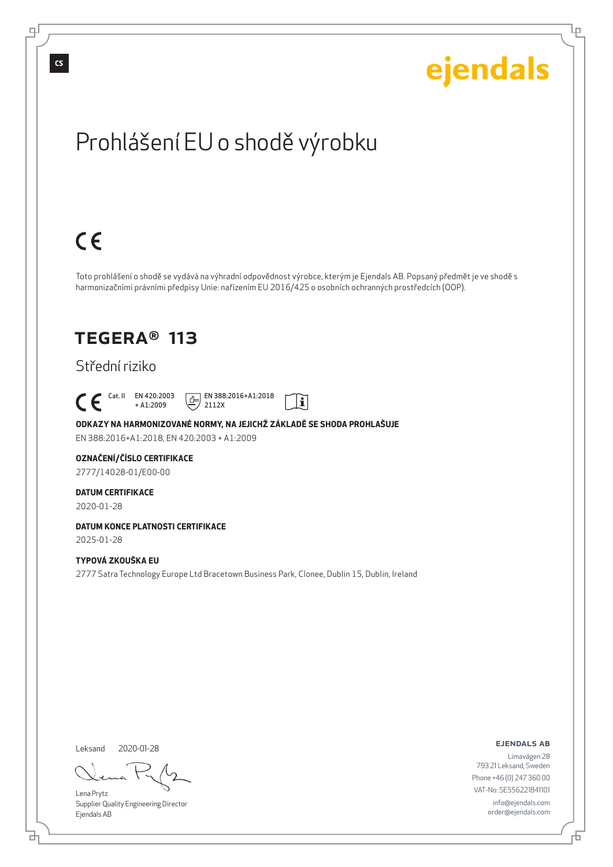டி

# ejendals

Ļμ

# Prohlášení EU o shodě výrobku

# $C \in$

Toto prohlášení o shodě se vydává na výhradní odpovědnost výrobce, kterým je Ejendals AB. Popsaný předmět je ve shodě s harmonizačními právními předpisy Unie: nařízením EU 2016/425 o osobních ochranných prostředcích (OOP).

## TEGERA® 113

### Střední riziko

 Cat. II EN 420:2003 + A1:2009

 $E$  EN 388:2016+A1:2018 2112X



**ODKAZY NA HARMONIZOVANÉ NORMY, NA JEJICHŽ ZÁKLADĚ SE SHODA PROHLAŠUJE** EN 388:2016+A1:2018, EN 420:2003 + A1:2009

### **OZNAČENÍ/ČÍSLO CERTIFIKACE**

2777/14028-01/E00-00

### **DATUM CERTIFIKACE**

2020-01-28

## **DATUM KONCE PLATNOSTI CERTIFIKACE**

2025-01-28

### **TYPOVÁ ZKOUŠKA EU**

2777 Satra Technology Europe Ltd Bracetown Business Park, Clonee, Dublin 15, Dublin, Ireland

Leksand

2020-01-28

Lena Prytz Supplier Quality Engineering Director Ejendals AB

ejendals ab

Limavägen 28 793 21 Leksand, Sweden Phone +46 (0) 247 360 00 VAT-No: SE556221841101 info@ejendals.com order@ejendals.com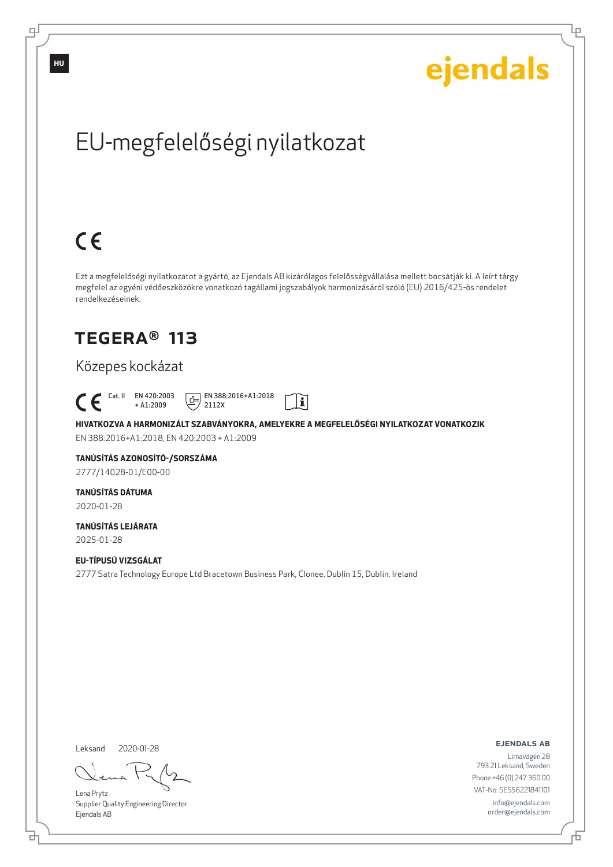# EU-megfelelőségi nyilatkozat

# $C \in$

Ezt a megfelelőségi nyilatkozatot a gyártó, az Ejendals AB kizárólagos felelősségvállalása mellett bocsátják ki. A leírt tárgy megfelel az egyéni védőeszközökre vonatkozó tagállami jogszabályok harmonizásáról szóló (EU) 2016/425-ös rendelet rendelkezéseinek.

 $|\tilde{\mathbf{i}}|$ 

## TEGERA® 113

### Közepes kockázat

 Cat. II EN 420:2003 + A1:2009

 $E$  EN 388:2016+A1:2018

2112X

**HIVATKOZVA A HARMONIZÁLT SZABVÁNYOKRA, AMELYEKRE A MEGFELELŐSÉGI NYILATKOZAT VONATKOZIK** EN 388:2016+A1:2018, EN 420:2003 + A1:2009

## **TANÚSÍTÁS AZONOSÍTÓ-/SORSZÁMA**

2777/14028-01/E00-00

### **TANÚSÍTÁS DÁTUMA**

2020-01-28

#### **TANÚSÍTÁS LEJÁRATA** 2025-01-28

**EU-TÍPUSÚ VIZSGÁLAT** 2777 Satra Technology Europe Ltd Bracetown Business Park, Clonee, Dublin 15, Dublin, Ireland

Leksand 2020-01-28

브

Lena Prytz Supplier Quality Engineering Director Ejendals AB

#### ejendals ab

Limavägen 28 793 21 Leksand, Sweden Phone +46 (0) 247 360 00 VAT-No: SE556221841101 info@ejendals.com order@ejendals.com

டி

**HU**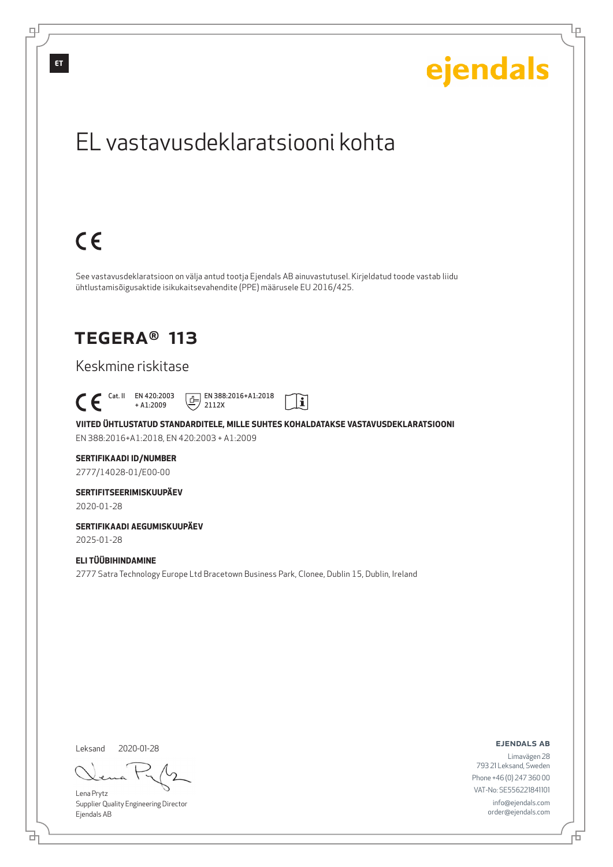

Leksand 2020-01-28

<u>다</u>

டி

Lena Prytz Supplier Quality Engineering Director Ejendals AB

ejendals ab

Đ

Lρ

Limavägen 28 793 21 Leksand, Sweden Phone +46 (0) 247 360 00 VAT-No: SE556221841101 info@ejendals.com order@ejendals.com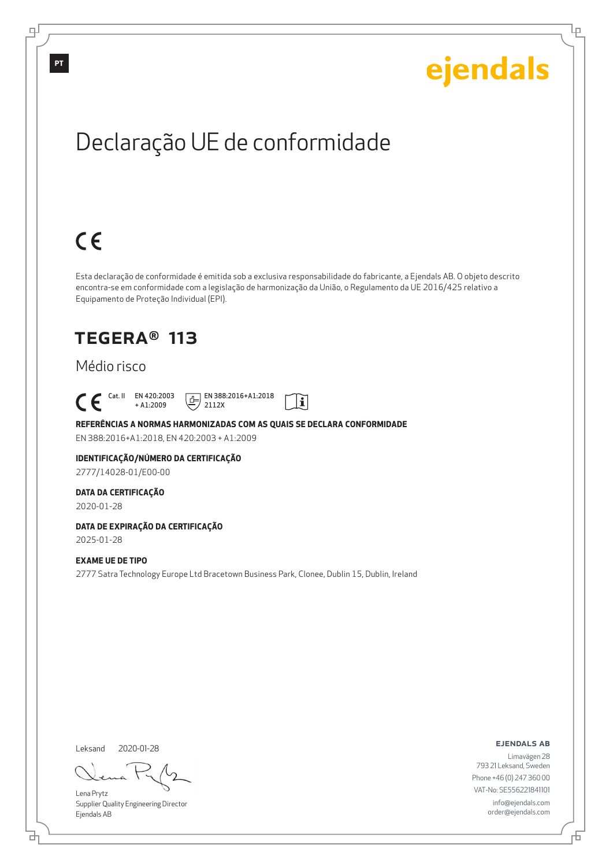Ļμ

# Declaração UE de conformidade

# $C \in$

Esta declaração de conformidade é emitida sob a exclusiva responsabilidade do fabricante, a Ejendals AB. O objeto descrito encontra-se em conformidade com a legislação de harmonização da União, o Regulamento da UE 2016/425 relativo a Equipamento de Proteção Individual (EPI).

## TEGERA® 113

### Médio risco

Cat. II EN 420:2003

+ A1:2009  $E$  EN 388:2016+A1:2018 2112X



**REFERÊNCIAS A NORMAS HARMONIZADAS COM AS QUAIS SE DECLARA CONFORMIDADE** EN 388:2016+A1:2018, EN 420:2003 + A1:2009

## **IDENTIFICAÇÃO/NÚMERO DA CERTIFICAÇÃO**

2777/14028-01/E00-00

### **DATA DA CERTIFICAÇÃO**

2020-01-28

## **DATA DE EXPIRAÇÃO DA CERTIFICAÇÃO**

2025-01-28

### **EXAME UE DE TIPO**

2777 Satra Technology Europe Ltd Bracetown Business Park, Clonee, Dublin 15, Dublin, Ireland

Leksand 2020-01-28

브

Lena Prytz Supplier Quality Engineering Director Ejendals AB

ejendals ab

Б

Limavägen 28 793 21 Leksand, Sweden Phone +46 (0) 247 360 00 VAT-No: SE556221841101 info@ejendals.com order@ejendals.com

டி

**PT**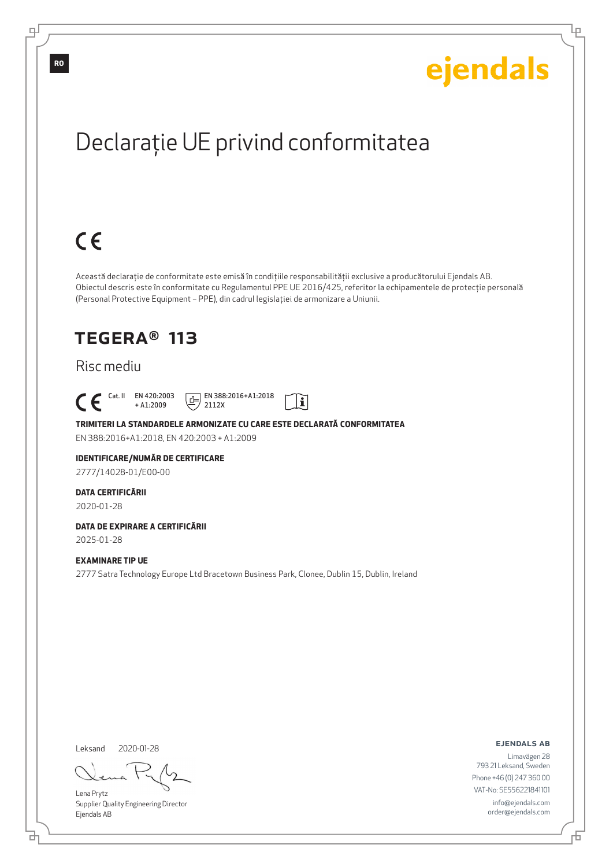Ļμ

# Declaraţie UE privind conformitatea

# $C \in$

Această declaraţie de conformitate este emisă în condiţiile responsabilităţii exclusive a producătorului Ejendals AB. Obiectul descris este în conformitate cu Regulamentul PPE UE 2016/425, referitor la echipamentele de protecţie personală (Personal Protective Equipment – PPE), din cadrul legislaţiei de armonizare a Uniunii.

## TEGERA® 113

### Risc mediu

 Cat. II EN 420:2003 + A1:2009

 $E$  EN 388:2016+A1:2018 2112X



**TRIMITERI LA STANDARDELE ARMONIZATE CU CARE ESTE DECLARATĂ CONFORMITATEA** EN 388:2016+A1:2018, EN 420:2003 + A1:2009

#### **IDENTIFICARE/NUMĂR DE CERTIFICARE**

2777/14028-01/E00-00

#### **DATA CERTIFICĂRII**

2020-01-28

## **DATA DE EXPIRARE A CERTIFICĂRII**

2025-01-28

### **EXAMINARE TIP UE**

2777 Satra Technology Europe Ltd Bracetown Business Park, Clonee, Dublin 15, Dublin, Ireland

Leksand 2020-01-28

브

Lena Prytz Supplier Quality Engineering Director Ejendals AB

ejendals ab

F

Limavägen 28 793 21 Leksand, Sweden Phone +46 (0) 247 360 00 VAT-No: SE556221841101 info@ejendals.com order@ejendals.com

∓

**RO**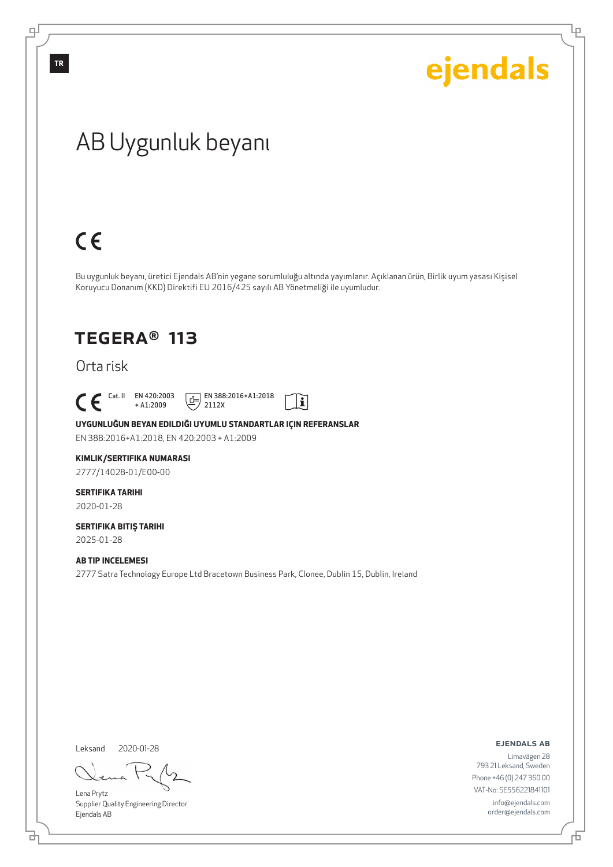## AB Uygunluk beyanı

# $C \in$

Bu uygunluk beyanı, üretici Ejendals AB'nin yegane sorumluluğu altında yayımlanır. Açıklanan ürün, Birlik uyum yasası Kişisel Koruyucu Donanım (KKD) Direktifi EU 2016/425 sayılı AB Yönetmeliği ile uyumludur.

## TEGERA® 113

Orta risk

 $\begin{bmatrix} \mathsf{Cat} & \mathsf{II} & \mathsf{EN} & 420:2003 \\ + & \mathsf{A} & 1:2009 \end{bmatrix}$ + A1:2009

 $E$  EN 388:2016+A1:2018 2112X



**UYGUNLUĞUN BEYAN EDILDIĞI UYUMLU STANDARTLAR IÇIN REFERANSLAR**

EN 388:2016+A1:2018, EN 420:2003 + A1:2009

#### **KIMLIK/SERTIFIKA NUMARASI**

2777/14028-01/E00-00

## **SERTIFIKA TARIHI**

2020-01-28

#### **SERTIFIKA BITIŞ TARIHI** 2025-01-28

**AB TIP INCELEMESI**

2777 Satra Technology Europe Ltd Bracetown Business Park, Clonee, Dublin 15, Dublin, Ireland

Leksand

đ

2020-01-28

Lena Prytz Supplier Quality Engineering Director Ejendals AB

ejendals ab

舌

Limavägen 28 793 21 Leksand, Sweden Phone +46 (0) 247 360 00 VAT-No: SE556221841101 info@ejendals.com order@ejendals.com

**TR**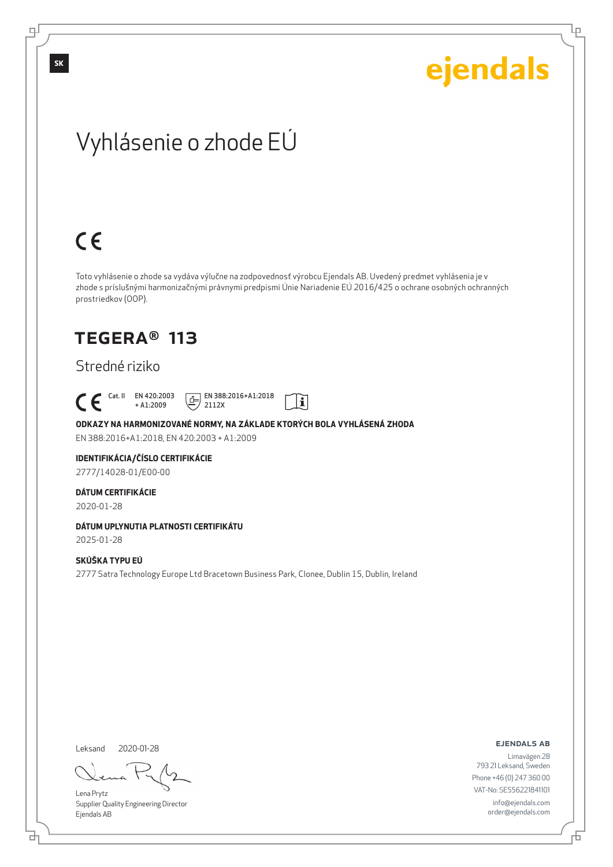Lρ

## Vyhlásenie o zhode EÚ

# $C \in$

Toto vyhlásenie o zhode sa vydáva výlučne na zodpovednosť výrobcu Ejendals AB. Uvedený predmet vyhlásenia je v zhode s príslušnými harmonizačnými právnymi predpismi Únie Nariadenie EÚ 2016/425 o ochrane osobných ochranných prostriedkov (OOP).

## TEGERA® 113

### Stredné riziko

 Cat. II EN 420:2003 + A1:2009

 $E$  EN 388:2016+A1:2018 2112X



**ODKAZY NA HARMONIZOVANÉ NORMY, NA ZÁKLADE KTORÝCH BOLA VYHLÁSENÁ ZHODA**

EN 388:2016+A1:2018, EN 420:2003 + A1:2009

### **IDENTIFIKÁCIA/ČÍSLO CERTIFIKÁCIE**

2777/14028-01/E00-00

### **DÁTUM CERTIFIKÁCIE**

2020-01-28

### **DÁTUM UPLYNUTIA PLATNOSTI CERTIFIKÁTU**

2025-01-28

### **SKÚŠKA TYPU EÚ**

2777 Satra Technology Europe Ltd Bracetown Business Park, Clonee, Dublin 15, Dublin, Ireland

Leksand 2020-01-28

<u>다</u>

Lena Prytz Supplier Quality Engineering Director Ejendals AB

ejendals ab

Limavägen 28 793 21 Leksand, Sweden Phone +46 (0) 247 360 00 VAT-No: SE556221841101 info@ejendals.com order@ejendals.com

டி

**SK**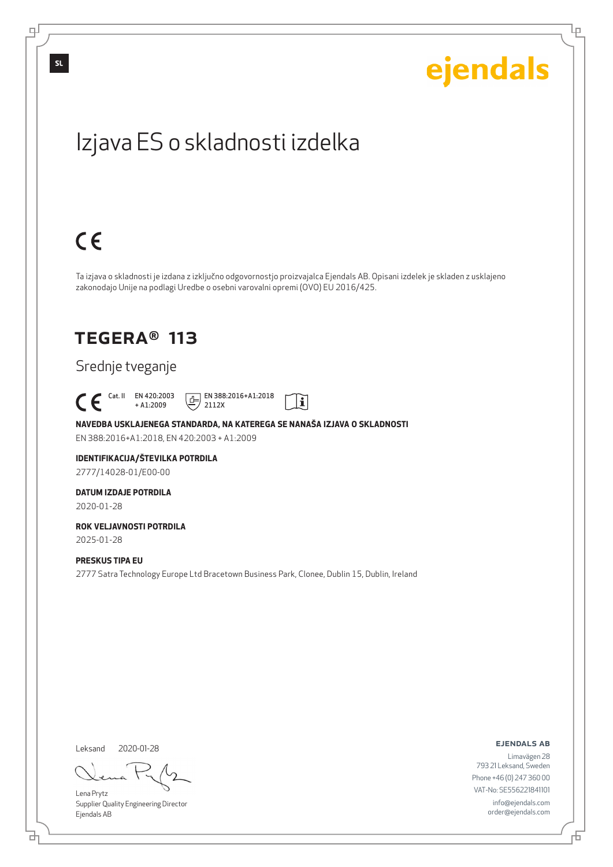Ļμ

## Izjava ES o skladnosti izdelka

# $C \in$

Ta izjava o skladnosti je izdana z izključno odgovornostjo proizvajalca Ejendals AB. Opisani izdelek je skladen z usklajeno zakonodajo Unije na podlagi Uredbe o osebni varovalni opremi (OVO) EU 2016/425.

 $|\tilde{\mathbf{i}}|$ 

## TEGERA® 113

### Srednje tveganje

 Cat. II EN 420:2003 + A1:2009

 $E$  EN 388:2016+A1:2018 2112X

**NAVEDBA USKLAJENEGA STANDARDA, NA KATEREGA SE NANAŠA IZJAVA O SKLADNOSTI** EN 388:2016+A1:2018, EN 420:2003 + A1:2009

#### **IDENTIFIKACIJA/ŠTEVILKA POTRDILA** 2777/14028-01/E00-00

**DATUM IZDAJE POTRDILA** 2020-01-28

**ROK VELJAVNOSTI POTRDILA** 2025-01-28

#### **PRESKUS TIPA EU**

2777 Satra Technology Europe Ltd Bracetown Business Park, Clonee, Dublin 15, Dublin, Ireland

Leksand 2020-01-28

<u>다</u>

Lena Prytz Supplier Quality Engineering Director Ejendals AB

ejendals ab

Limavägen 28 793 21 Leksand, Sweden Phone +46 (0) 247 360 00 VAT-No: SE556221841101 info@ejendals.com order@ejendals.com

டி

**SL**

Đ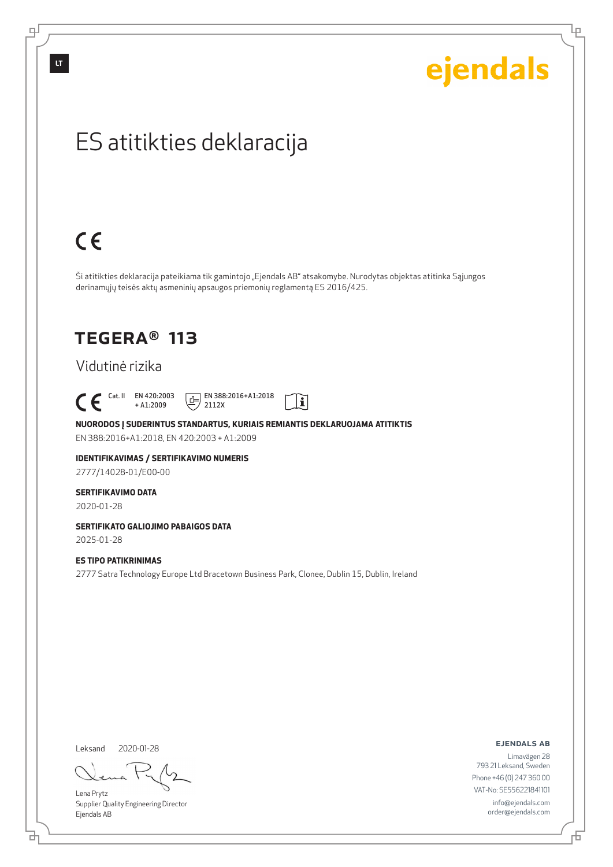டி

# ejendals

Lρ

## ES atitikties deklaracija

# $C \in$

Ši atitikties deklaracija pateikiama tik gamintojo "Ejendals AB" atsakomybe. Nurodytas objektas atitinka Sąjungos derinamųjų teisės aktų asmeninių apsaugos priemonių reglamentą ES 2016/425.

## TEGERA® 113

### Vidutinė rizika

 $\begin{bmatrix} \text{Cat. II} & \text{EN }420:2003 \\ + A1:2009 \end{bmatrix}$ 

+ A1:2009  $E$  EN 388:2016+A1:2018 2112X



**NUORODOS Į SUDERINTUS STANDARTUS, KURIAIS REMIANTIS DEKLARUOJAMA ATITIKTIS** EN 388:2016+A1:2018, EN 420:2003 + A1:2009

### **IDENTIFIKAVIMAS / SERTIFIKAVIMO NUMERIS**

2777/14028-01/E00-00

#### **SERTIFIKAVIMO DATA**

2020-01-28

### **SERTIFIKATO GALIOJIMO PABAIGOS DATA**

2025-01-28

### **ES TIPO PATIKRINIMAS**

2777 Satra Technology Europe Ltd Bracetown Business Park, Clonee, Dublin 15, Dublin, Ireland

Leksand 2020-01-28

Lena Prytz Supplier Quality Engineering Director Ejendals AB

ejendals ab

Limavägen 28 793 21 Leksand, Sweden Phone +46 (0) 247 360 00 VAT-No: SE556221841101 info@ejendals.com order@ejendals.com

브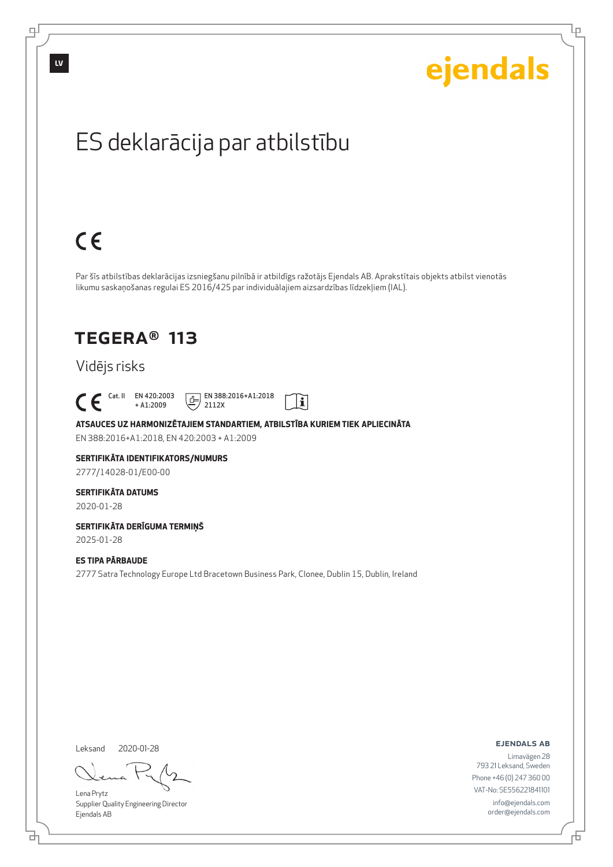

**LV**

டி

ejendals

Lρ

## ES deklarācija par atbilstību

# $C \in$

Par šīs atbilstības deklarācijas izsniegšanu pilnībā ir atbildīgs ražotājs Ejendals AB. Aprakstītais objekts atbilst vienotās likumu saskaņošanas regulai ES 2016/425 par individuālajiem aizsardzības līdzekļiem (IAL).

## TEGERA® 113

### Vidējs risks

 Cat. II EN 420:2003 + A1:2009

 $E$  EN 388:2016+A1:2018 2112X



**ATSAUCES UZ HARMONIZĒTAJIEM STANDARTIEM, ATBILSTĪBA KURIEM TIEK APLIECINĀTA** EN 388:2016+A1:2018, EN 420:2003 + A1:2009

#### **SERTIFIKĀTA IDENTIFIKATORS/NUMURS** 2777/14028-01/E00-00

**SERTIFIKĀTA DATUMS**

2020-01-28

#### **SERTIFIKĀTA DERĪGUMA TERMIŅŠ** 2025-01-28

**ES TIPA PĀRBAUDE**

2777 Satra Technology Europe Ltd Bracetown Business Park, Clonee, Dublin 15, Dublin, Ireland

Leksand 2020-01-28

<u>다</u>

Lena Prytz Supplier Quality Engineering Director Ejendals AB

ejendals ab

Limavägen 28 793 21 Leksand, Sweden Phone +46 (0) 247 360 00 VAT-No: SE556221841101 info@ejendals.com order@ejendals.com

Б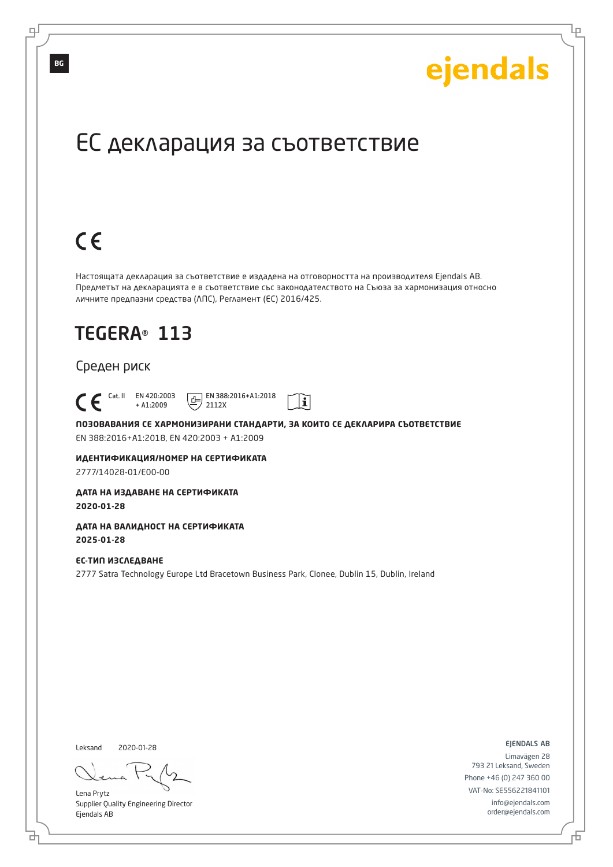Lр

## ЕС декларация за съответствие

# $C \in$

Настоящата декларация за съответствие е издадена на отговорността на производителя Ejendals AB. Предметът на декларацията е в съответствие със законодателството на Съюза за хармонизация относно личните предпазни средства (ЛПС), Регламент (ЕС) 2016/425.

## TEGERA® 113

### Среден риск

 Cat. II EN 420:2003 + A1:2009

 $E$  EN 388:2016+A1:2018 2112X



**ПОЗОВАВАНИЯ СЕ ХАРМОНИЗИРАНИ СТАНДАРТИ, ЗА КОИТО СЕ ДЕКЛАРИРА СЪОТВЕТСТВИЕ** EN 388:2016+A1:2018, EN 420:2003 + A1:2009

**ИДЕНТИФИКАЦИЯ/НОМЕР НА СЕРТИФИКАТА** 2777/14028-01/E00-00

**ДАТА НА ИЗДАВАНЕ НА СЕРТИФИКАТА 2020-01-28**

**ДАТА НА ВАЛИДНОСТ НА СЕРТИФИКАТА 2025-01-28**

**ЕС-ТИП ИЗСЛЕДВАНЕ** 2777 Satra Technology Europe Ltd Bracetown Business Park, Clonee, Dublin 15, Dublin, Ireland

Leksand 2020-01-28

브

Lena Prytz Supplier Quality Engineering Director Ejendals AB

ejendals ab

Limavägen 28 793 21 Leksand, Sweden Phone +46 (0) 247 360 00 VAT-No: SE556221841101 info@ejendals.com order@ejendals.com

டி

**BG**